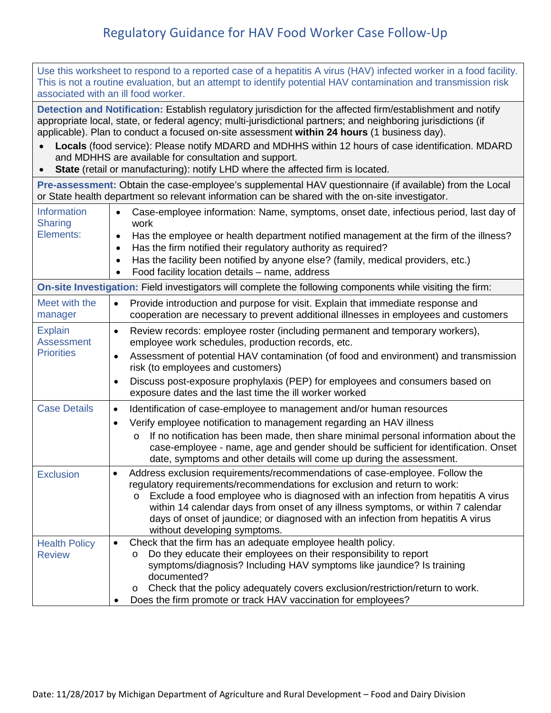## Regulatory Guidance for HAV Food Worker Case Follow-Up

| Use this worksheet to respond to a reported case of a hepatitis A virus (HAV) infected worker in a food facility.<br>This is not a routine evaluation, but an attempt to identify potential HAV contamination and transmission risk<br>associated with an ill food worker.                                                   |                                                                                                                                                                                                                                                                                                                                                                                                                                                                       |  |
|------------------------------------------------------------------------------------------------------------------------------------------------------------------------------------------------------------------------------------------------------------------------------------------------------------------------------|-----------------------------------------------------------------------------------------------------------------------------------------------------------------------------------------------------------------------------------------------------------------------------------------------------------------------------------------------------------------------------------------------------------------------------------------------------------------------|--|
| Detection and Notification: Establish regulatory jurisdiction for the affected firm/establishment and notify<br>appropriate local, state, or federal agency; multi-jurisdictional partners; and neighboring jurisdictions (if<br>applicable). Plan to conduct a focused on-site assessment within 24 hours (1 business day). |                                                                                                                                                                                                                                                                                                                                                                                                                                                                       |  |
| Locals (food service): Please notify MDARD and MDHHS within 12 hours of case identification. MDARD<br>and MDHHS are available for consultation and support.<br>State (retail or manufacturing): notify LHD where the affected firm is located.<br>$\bullet$                                                                  |                                                                                                                                                                                                                                                                                                                                                                                                                                                                       |  |
| Pre-assessment: Obtain the case-employee's supplemental HAV questionnaire (if available) from the Local<br>or State health department so relevant information can be shared with the on-site investigator.                                                                                                                   |                                                                                                                                                                                                                                                                                                                                                                                                                                                                       |  |
| Information<br><b>Sharing</b>                                                                                                                                                                                                                                                                                                | Case-employee information: Name, symptoms, onset date, infectious period, last day of<br>$\bullet$<br>work                                                                                                                                                                                                                                                                                                                                                            |  |
| Elements:                                                                                                                                                                                                                                                                                                                    | Has the employee or health department notified management at the firm of the illness?<br>$\bullet$<br>Has the firm notified their regulatory authority as required?<br>$\bullet$                                                                                                                                                                                                                                                                                      |  |
|                                                                                                                                                                                                                                                                                                                              | Has the facility been notified by anyone else? (family, medical providers, etc.)<br>Food facility location details - name, address<br>$\bullet$                                                                                                                                                                                                                                                                                                                       |  |
| On-site Investigation: Field investigators will complete the following components while visiting the firm:                                                                                                                                                                                                                   |                                                                                                                                                                                                                                                                                                                                                                                                                                                                       |  |
| Meet with the<br>manager                                                                                                                                                                                                                                                                                                     | Provide introduction and purpose for visit. Explain that immediate response and<br>$\bullet$<br>cooperation are necessary to prevent additional illnesses in employees and customers                                                                                                                                                                                                                                                                                  |  |
| <b>Explain</b><br><b>Assessment</b>                                                                                                                                                                                                                                                                                          | Review records: employee roster (including permanent and temporary workers),<br>$\bullet$<br>employee work schedules, production records, etc.                                                                                                                                                                                                                                                                                                                        |  |
| <b>Priorities</b>                                                                                                                                                                                                                                                                                                            | Assessment of potential HAV contamination (of food and environment) and transmission<br>$\bullet$<br>risk (to employees and customers)                                                                                                                                                                                                                                                                                                                                |  |
|                                                                                                                                                                                                                                                                                                                              | Discuss post-exposure prophylaxis (PEP) for employees and consumers based on<br>$\bullet$<br>exposure dates and the last time the ill worker worked                                                                                                                                                                                                                                                                                                                   |  |
| <b>Case Details</b>                                                                                                                                                                                                                                                                                                          | Identification of case-employee to management and/or human resources<br>$\bullet$                                                                                                                                                                                                                                                                                                                                                                                     |  |
|                                                                                                                                                                                                                                                                                                                              | Verify employee notification to management regarding an HAV illness<br>$\bullet$                                                                                                                                                                                                                                                                                                                                                                                      |  |
|                                                                                                                                                                                                                                                                                                                              | If no notification has been made, then share minimal personal information about the<br>$\circ$<br>case-employee - name, age and gender should be sufficient for identification. Onset<br>date, symptoms and other details will come up during the assessment.                                                                                                                                                                                                         |  |
| <b>Exclusion</b>                                                                                                                                                                                                                                                                                                             | Address exclusion requirements/recommendations of case-employee. Follow the<br>٠<br>regulatory requirements/recommendations for exclusion and return to work:<br>Exclude a food employee who is diagnosed with an infection from hepatitis A virus<br>$\circ$<br>within 14 calendar days from onset of any illness symptoms, or within 7 calendar<br>days of onset of jaundice; or diagnosed with an infection from hepatitis A virus<br>without developing symptoms. |  |
| <b>Health Policy</b><br><b>Review</b>                                                                                                                                                                                                                                                                                        | Check that the firm has an adequate employee health policy.<br>Do they educate their employees on their responsibility to report<br>$\circ$<br>symptoms/diagnosis? Including HAV symptoms like jaundice? Is training<br>documented?                                                                                                                                                                                                                                   |  |
|                                                                                                                                                                                                                                                                                                                              | Check that the policy adequately covers exclusion/restriction/return to work.<br>O<br>Does the firm promote or track HAV vaccination for employees?                                                                                                                                                                                                                                                                                                                   |  |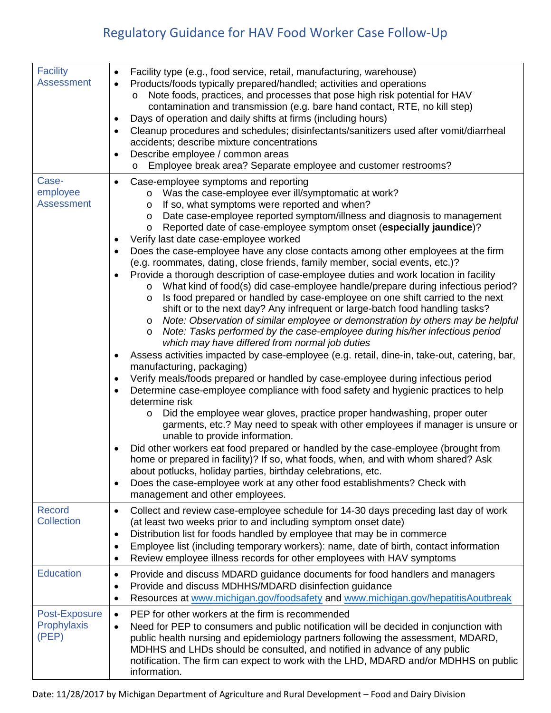## Regulatory Guidance for HAV Food Worker Case Follow-Up

| <b>Facility</b><br><b>Assessment</b>   | Facility type (e.g., food service, retail, manufacturing, warehouse)<br>$\bullet$<br>Products/foods typically prepared/handled; activities and operations<br>Note foods, practices, and processes that pose high risk potential for HAV<br>O<br>contamination and transmission (e.g. bare hand contact, RTE, no kill step)<br>Days of operation and daily shifts at firms (including hours)<br>Cleanup procedures and schedules; disinfectants/sanitizers used after vomit/diarrheal<br>accidents; describe mixture concentrations<br>Describe employee / common areas<br>Employee break area? Separate employee and customer restrooms?<br>$\circ$                                                                                                                                                                                                                                                                                                                                                                                                                                                                                                                                                                                                                                                                                                                                                                                                                                                                                                                                                                                                                                                                                                                                                                                                                                                                                                                                                                                                                                     |
|----------------------------------------|-----------------------------------------------------------------------------------------------------------------------------------------------------------------------------------------------------------------------------------------------------------------------------------------------------------------------------------------------------------------------------------------------------------------------------------------------------------------------------------------------------------------------------------------------------------------------------------------------------------------------------------------------------------------------------------------------------------------------------------------------------------------------------------------------------------------------------------------------------------------------------------------------------------------------------------------------------------------------------------------------------------------------------------------------------------------------------------------------------------------------------------------------------------------------------------------------------------------------------------------------------------------------------------------------------------------------------------------------------------------------------------------------------------------------------------------------------------------------------------------------------------------------------------------------------------------------------------------------------------------------------------------------------------------------------------------------------------------------------------------------------------------------------------------------------------------------------------------------------------------------------------------------------------------------------------------------------------------------------------------------------------------------------------------------------------------------------------------|
| Case-<br>employee<br><b>Assessment</b> | Case-employee symptoms and reporting<br>$\bullet$<br>Was the case-employee ever ill/symptomatic at work?<br>$\circ$<br>If so, what symptoms were reported and when?<br>$\circ$<br>Date case-employee reported symptom/illness and diagnosis to management<br>$\circ$<br>Reported date of case-employee symptom onset (especially jaundice)?<br>$\circ$<br>Verify last date case-employee worked<br>Does the case-employee have any close contacts among other employees at the firm<br>(e.g. roommates, dating, close friends, family member, social events, etc.)?<br>Provide a thorough description of case-employee duties and work location in facility<br>What kind of food(s) did case-employee handle/prepare during infectious period?<br>$\circ$<br>Is food prepared or handled by case-employee on one shift carried to the next<br>$\circ$<br>shift or to the next day? Any infrequent or large-batch food handling tasks?<br>Note: Observation of similar employee or demonstration by others may be helpful<br>$\circ$<br>Note: Tasks performed by the case-employee during his/her infectious period<br>$\circ$<br>which may have differed from normal job duties<br>Assess activities impacted by case-employee (e.g. retail, dine-in, take-out, catering, bar,<br>manufacturing, packaging)<br>Verify meals/foods prepared or handled by case-employee during infectious period<br>Determine case-employee compliance with food safety and hygienic practices to help<br>determine risk<br>Did the employee wear gloves, practice proper handwashing, proper outer<br>$\circ$<br>garments, etc.? May need to speak with other employees if manager is unsure or<br>unable to provide information.<br>Did other workers eat food prepared or handled by the case-employee (brought from<br>home or prepared in facility)? If so, what foods, when, and with whom shared? Ask<br>about potlucks, holiday parties, birthday celebrations, etc.<br>Does the case-employee work at any other food establishments? Check with<br>$\bullet$<br>management and other employees. |
| <b>Record</b><br><b>Collection</b>     | Collect and review case-employee schedule for 14-30 days preceding last day of work<br>$\bullet$<br>(at least two weeks prior to and including symptom onset date)<br>Distribution list for foods handled by employee that may be in commerce<br>$\bullet$<br>Employee list (including temporary workers): name, date of birth, contact information<br>$\bullet$<br>Review employee illness records for other employees with HAV symptoms<br>$\bullet$                                                                                                                                                                                                                                                                                                                                                                                                                                                                                                                                                                                                                                                                                                                                                                                                                                                                                                                                                                                                                                                                                                                                                                                                                                                                                                                                                                                                                                                                                                                                                                                                                                  |
| <b>Education</b>                       | Provide and discuss MDARD guidance documents for food handlers and managers<br>٠<br>Provide and discuss MDHHS/MDARD disinfection guidance<br>$\bullet$<br>Resources at www.michigan.gov/foodsafety and www.michigan.gov/hepatitisAoutbreak<br>$\bullet$                                                                                                                                                                                                                                                                                                                                                                                                                                                                                                                                                                                                                                                                                                                                                                                                                                                                                                                                                                                                                                                                                                                                                                                                                                                                                                                                                                                                                                                                                                                                                                                                                                                                                                                                                                                                                                 |
| Post-Exposure<br>Prophylaxis<br>(PEP)  | PEP for other workers at the firm is recommended<br>$\bullet$<br>Need for PEP to consumers and public notification will be decided in conjunction with<br>$\bullet$<br>public health nursing and epidemiology partners following the assessment, MDARD,<br>MDHHS and LHDs should be consulted, and notified in advance of any public<br>notification. The firm can expect to work with the LHD, MDARD and/or MDHHS on public<br>information.                                                                                                                                                                                                                                                                                                                                                                                                                                                                                                                                                                                                                                                                                                                                                                                                                                                                                                                                                                                                                                                                                                                                                                                                                                                                                                                                                                                                                                                                                                                                                                                                                                            |